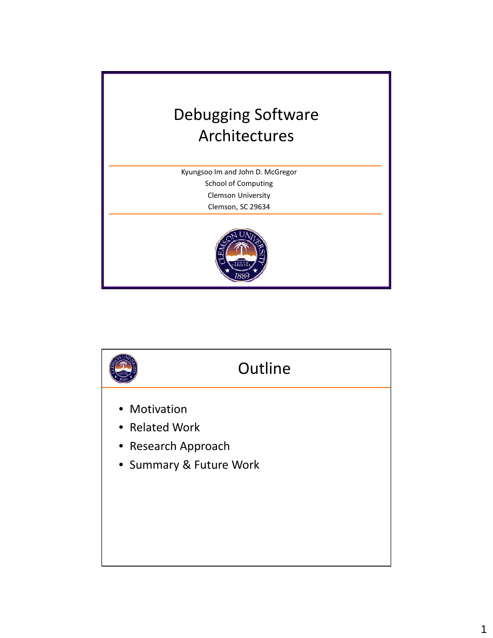

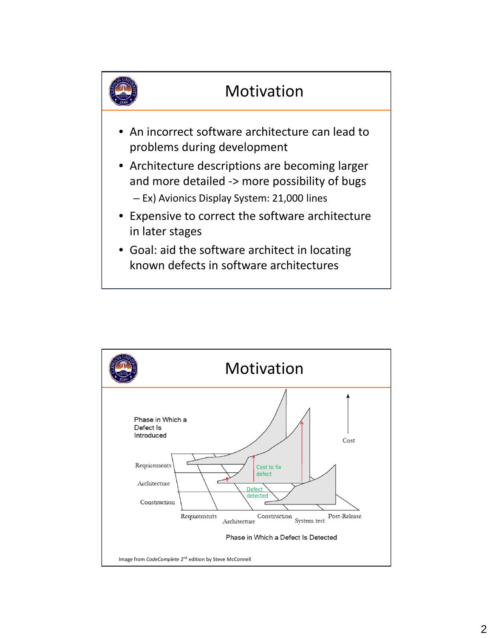

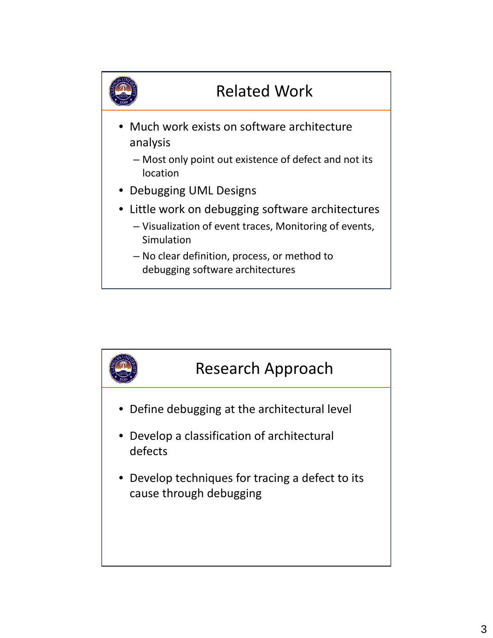

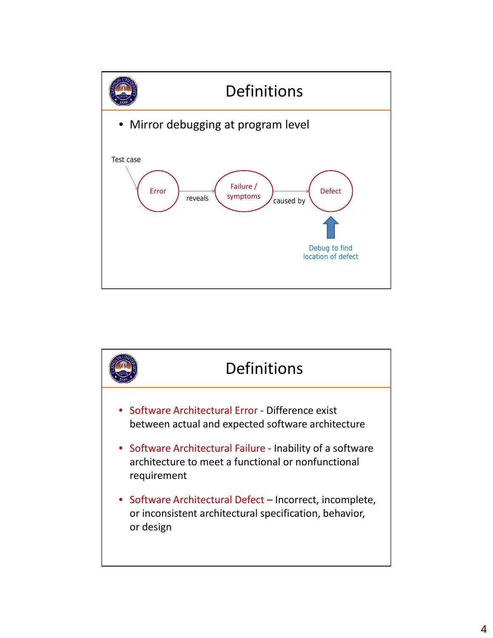

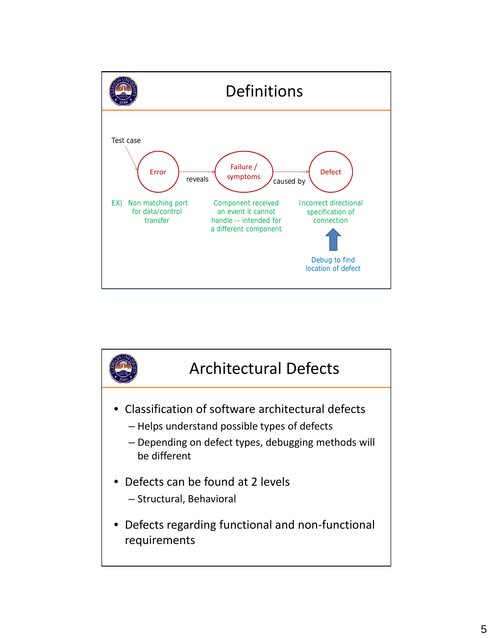

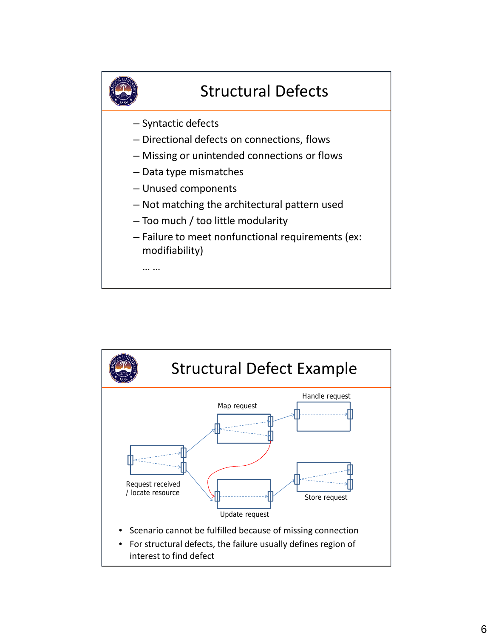

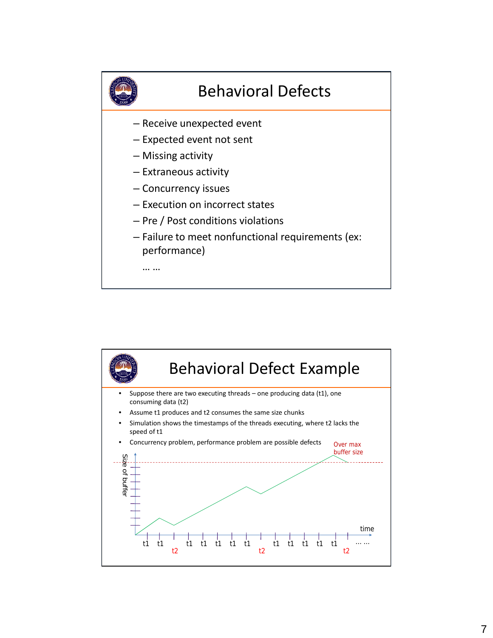

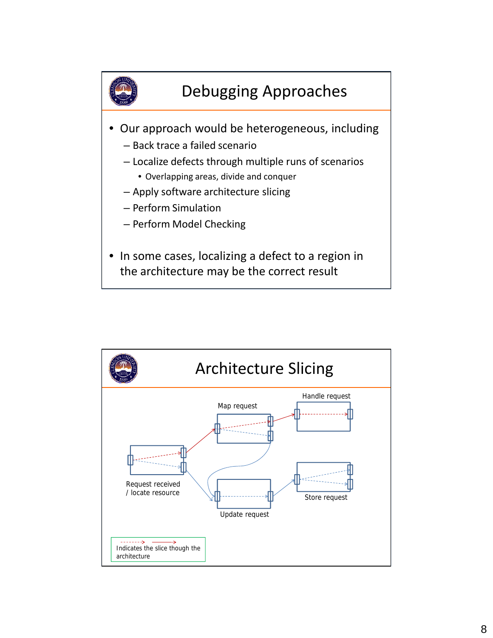

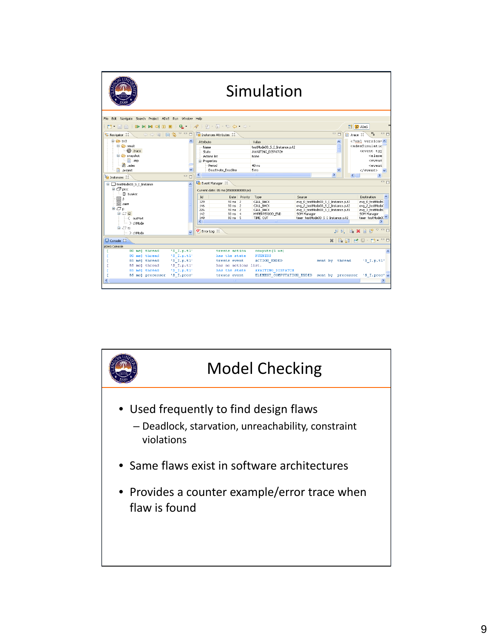

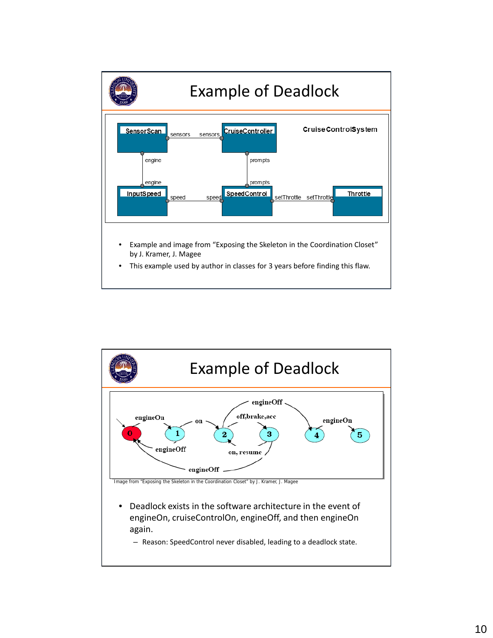

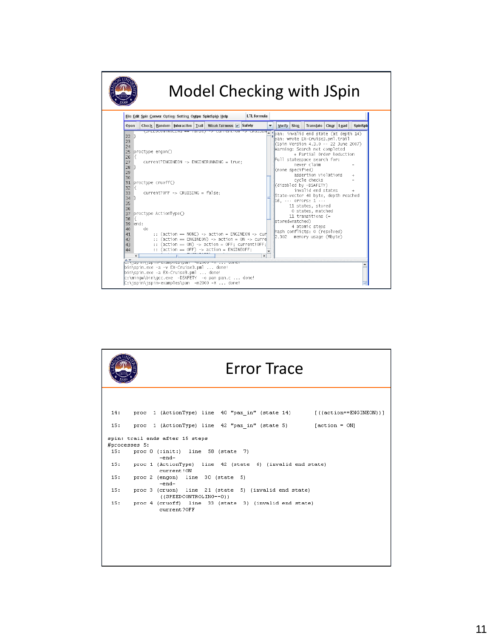

| <b>Error Trace</b>                                                                    |  |
|---------------------------------------------------------------------------------------|--|
|                                                                                       |  |
| 14: proc 1 (ActionType) line 40 "pan in" (state 14) [((action==ENGINEON))]            |  |
| 15:<br>proc 1 (ActionType) line 42 "pan in" (state 5) [action = ON]                   |  |
| spin: trail ends after 15 steps<br>#processes 5:                                      |  |
| 15:<br>proc $0$ (:init:) line 58 (state 7)<br>$-end-$                                 |  |
| 15:<br>proc 1 (ActionType) line 42 (state 6) (invalid end state)<br>current!ON        |  |
| 15:<br>proc 2 (engon) line 30 (state 5)<br>$-end-$                                    |  |
| 15:<br>proc 3 (cruon) line 21 (state 5) (invalid end state)<br>((SPEEDCONTROLING==0)) |  |
| proc 4 (cruoff) line 33 (state 3) (invalid end state)<br>15:<br>current?OFF           |  |
|                                                                                       |  |
|                                                                                       |  |
|                                                                                       |  |